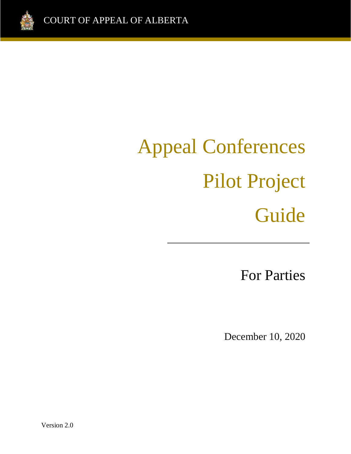

# Appeal Conferences Pilot Project Guide

For Parties

Guide<br>Guide

December 10, 2020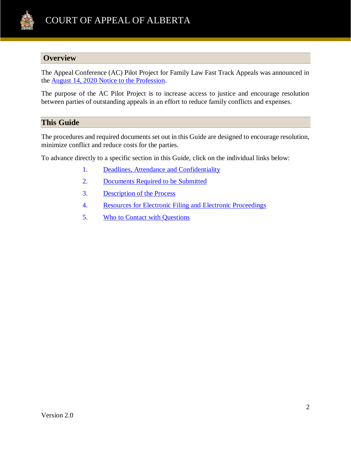

## **Overview**

The Appeal Conference (AC) Pilot Project for Family Law Fast Track Appeals was announced in the [August 14, 2020 Notice to the Profession.](https://www.albertacourts.ca/ca/publications/announcements/notice-to-the-profession-and-public---appeal-conference-pilot-project-for-family-law-fast-track-appeals)

The purpose of the AC Pilot Project is to increase access to justice and encourage resolution between parties of outstanding appeals in an effort to reduce family conflicts and expenses.

### **This Guide**

The procedures and required documents set out in this Guide are designed to encourage resolution, minimize conflict and reduce costs for the parties.

To advance directly to a specific section in this Guide, click on the individual links below:

- 1. [Deadlines, Attendance](#page-2-0) and Confidentiality
- 2. [Documents Required to be Submitted](#page-2-1)
- 3. [Description of the Process](#page-3-0)
- 4. [Resources for Electronic Filing and Electronic Proceedings](#page-4-0)
- 5. [Who to Contact with Questions](#page-5-0)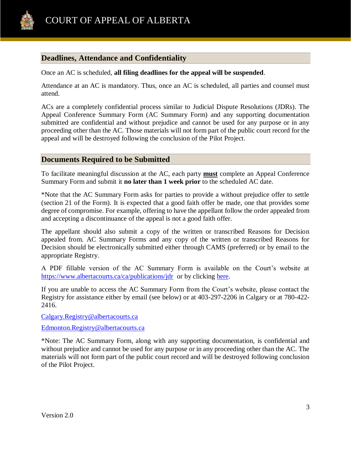

# <span id="page-2-0"></span>**Deadlines, Attendance and Confidentiality**

Once an AC is scheduled, **all filing deadlines for the appeal will be suspended**.

Attendance at an AC is mandatory. Thus, once an AC is scheduled, all parties and counsel must attend.

ACs are a completely confidential process similar to Judicial Dispute Resolutions (JDRs). The Appeal Conference Summary Form (AC Summary Form) and any supporting documentation submitted are confidential and without prejudice and cannot be used for any purpose or in any proceeding other than the AC. Those materials will not form part of the public court record for the appeal and will be destroyed following the conclusion of the Pilot Project.

#### <span id="page-2-1"></span>**Documents Required to be Submitted**

To facilitate meaningful discussion at the AC, each party **must** complete an Appeal Conference Summary Form and submit it **no later than 1 week prior** to the scheduled AC date.

\*Note that the AC Summary Form asks for parties to provide a without prejudice offer to settle (section 21 of the Form). It is expected that a good faith offer be made, one that provides some degree of compromise. For example, offering to have the appellant follow the order appealed from and accepting a discontinuance of the appeal is not a good faith offer.

The appellant should also submit a copy of the written or transcribed Reasons for Decision appealed from. AC Summary Forms and any copy of the written or transcribed Reasons for Decision should be electronically submitted either through CAMS (preferred) or by email to the appropriate Registry.

A PDF fillable version of the AC Summary Form is available on the Court's website at <https://www.albertacourts.ca/ca/publications/jdr>or by clicking [here.](https://www.albertacourts.ca/docs/default-source/ca/appeal-conference-summary.pdf)

If you are unable to access the AC Summary Form from the Court's website, please contact the Registry for assistance either by email (see below) or at 403-297-2206 in Calgary or at 780-422- 2416.

[Calgary.Registry@albertacourts.ca](mailto:Calgary.Registry@albertacourts.ca) 

[Edmonton.Registry@albertacourts.ca](mailto:Edmonton.Registry@albertacourts.ca) 

\*Note: The AC Summary Form, along with any supporting documentation, is confidential and without prejudice and cannot be used for any purpose or in any proceeding other than the AC. The materials will not form part of the public court record and will be destroyed following conclusion of the Pilot Project.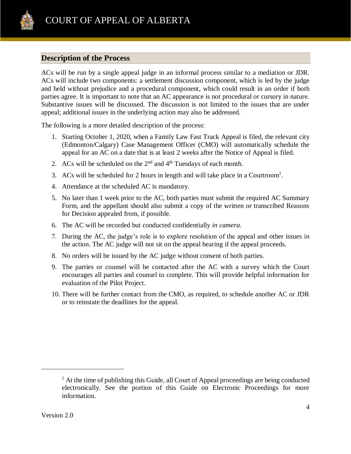

# <span id="page-3-0"></span>**Description of the Process**

ACs will be run by a single appeal judge in an informal process similar to a mediation or JDR. ACs will include two components: a settlement discussion component, which is led by the judge and held without prejudice and a procedural component, which could result in an order if both parties agree. It is important to note that an AC appearance is not procedural or cursory in nature. Substantive issues will be discussed. The discussion is not limited to the issues that are under appeal; additional issues in the underlying action may also be addressed.

The following is a more detailed description of the process:

- 1. Starting October 1, 2020, when a Family Law Fast Track Appeal is filed, the relevant city (Edmonton/Calgary) Case Management Officer (CMO) will automatically schedule the appeal for an AC on a date that is at least 2 weeks after the Notice of Appeal is filed.
- 2. ACs will be scheduled on the  $2<sup>nd</sup>$  and  $4<sup>th</sup>$  Tuesdays of each month.
- 3. ACs will be scheduled for 2 hours in length and will take place in a Courtroom<sup>1</sup>.
- 4. Attendance at the scheduled AC is mandatory.
- 5. No later than 1 week prior to the AC, both parties must submit the required AC Summary Form, and the appellant should also submit a copy of the written or transcribed Reasons for Decision appealed from, if possible.
- 6. The AC will be recorded but conducted confidentially *in camera.*
- 7. During the AC, the judge's role is to explore resolution of the appeal and other issues in the action. The AC judge will not sit on the appeal hearing if the appeal proceeds.
- 8. No orders will be issued by the AC judge without consent of both parties.
- 9. The parties or counsel will be contacted after the AC with a survey which the Court encourages all parties and counsel to complete. This will provide helpful information for evaluation of the Pilot Project.
- 10. There will be further contact from the CMO, as required, to schedule another AC or JDR or to reinstate the deadlines for the appeal.

 $\overline{a}$ 

 $<sup>1</sup>$  At the time of publishing this Guide, all Court of Appeal proceedings are being conducted</sup> electronically. See the portion of this Guide on Electronic Proceedings for more information.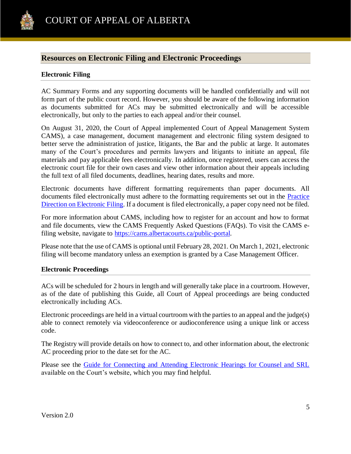

### <span id="page-4-0"></span>**Resources on Electronic Filing and Electronic Proceedings**

#### **Electronic Filing**

AC Summary Forms and any supporting documents will be handled confidentially and will not form part of the public court record. However, you should be aware of the following information as documents submitted for ACs may be submitted electronically and will be accessible electronically, but only to the parties to each appeal and/or their counsel.

On August 31, 2020, the Court of Appeal implemented Court of Appeal Management System CAMS), a case management, document management and electronic filing system designed to better serve the administration of justice, litigants, the Bar and the public at large. It automates many of the Court's procedures and permits lawyers and litigants to initiate an appeal, file materials and pay applicable fees electronically. In addition, once registered, users can access the electronic court file for their own cases and view other information about their appeals including the full text of all filed documents, deadlines, hearing dates, results and more.

Electronic documents have different formatting requirements than paper documents. All documents filed electronically must adhere to the formatting requirements set out in the [Practice](https://cams.albertacourts.ca/public-portal/files/practiceDirection.pdf)  [Direction on Electronic Filing.](https://cams.albertacourts.ca/public-portal/files/practiceDirection.pdf) If a document is filed electronically, a paper copy need not be filed.

For more information about CAMS, including how to register for an account and how to format and file documents, view the CAMS Frequently Asked Questions (FAQs). To visit the CAMS efiling website, navigate to [https://cams.albertacourts.ca/public-portal.](https://cams.albertacourts.ca/public-portal)

Please note that the use of CAMS is optional until February 28, 2021. On March 1, 2021, electronic filing will become mandatory unless an exemption is granted by a Case Management Officer.

#### **Electronic Proceedings**

ACs will be scheduled for 2 hours in length and will generally take place in a courtroom. However, as of the date of publishing this Guide, all Court of Appeal proceedings are being conducted electronically including ACs.

Electronic proceedings are held in a virtual courtroom with the parties to an appeal and the judge(s) able to connect remotely via videoconference or audioconference using a unique link or access code.

The Registry will provide details on how to connect to, and other information about, the electronic AC proceeding prior to the date set for the AC.

Please see the [Guide for Connecting and Attending Electronic Hearings for Counsel and SRL](https://www.albertacourts.ca/docs/default-source/ca/guide-for-connecting-and-attending-electronic-hearings-for-counsel-and-srl.pdf?sfvrsn=5f589380_4) available on the Court's website, which you may find helpful.